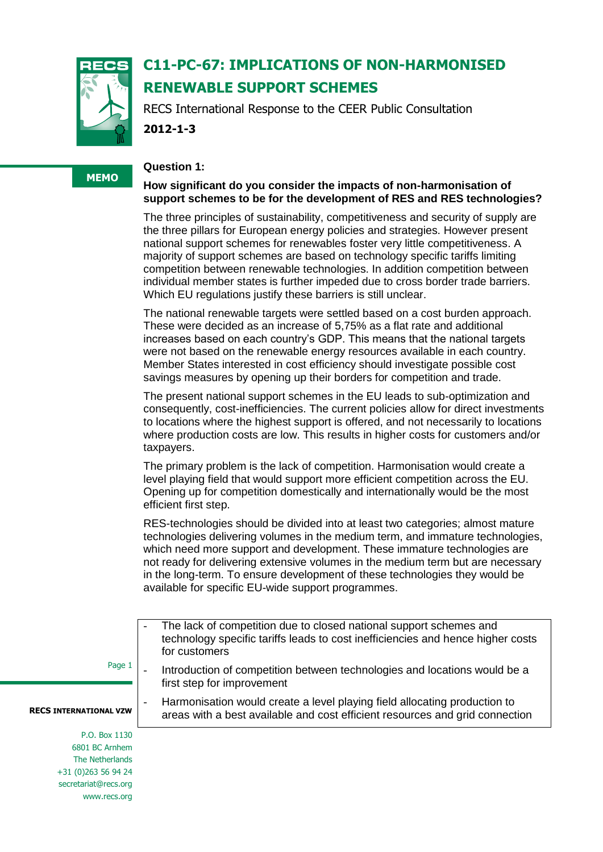

# **C11-PC-67: IMPLICATIONS OF NON-HARMONISED RENEWABLE SUPPORT SCHEMES**

RECS International Response to the CEER Public Consultation **2012-1-3**

#### **Question 1:**

## **How significant do you consider the impacts of non-harmonisation of support schemes to be for the development of RES and RES technologies?**

The three principles of sustainability, competitiveness and security of supply are the three pillars for European energy policies and strategies. However present national support schemes for renewables foster very little competitiveness. A majority of support schemes are based on technology specific tariffs limiting competition between renewable technologies. In addition competition between individual member states is further impeded due to cross border trade barriers. Which EU regulations justify these barriers is still unclear.

The national renewable targets were settled based on a cost burden approach. These were decided as an increase of 5,75% as a flat rate and additional increases based on each country's GDP. This means that the national targets were not based on the renewable energy resources available in each country. Member States interested in cost efficiency should investigate possible cost savings measures by opening up their borders for competition and trade.

The present national support schemes in the EU leads to sub-optimization and consequently, cost-inefficiencies. The current policies allow for direct investments to locations where the highest support is offered, and not necessarily to locations where production costs are low. This results in higher costs for customers and/or taxpayers.

The primary problem is the lack of competition. Harmonisation would create a level playing field that would support more efficient competition across the EU. Opening up for competition domestically and internationally would be the most efficient first step.

RES-technologies should be divided into at least two categories; almost mature technologies delivering volumes in the medium term, and immature technologies, which need more support and development. These immature technologies are not ready for delivering extensive volumes in the medium term but are necessary in the long-term. To ensure development of these technologies they would be available for specific EU-wide support programmes.

- The lack of competition due to closed national support schemes and technology specific tariffs leads to cost inefficiencies and hence higher costs for customers
- Page 1
	- Introduction of competition between technologies and locations would be a first step for improvement

Harmonisation would create a level playing field allocating production to areas with a best available and cost efficient resources and grid connection

**RECS INTERNATIONAL VZW**

P.O. Box 1130 6801 BC Arnhem The Netherlands +31 (0)263 56 94 24 secretariat@recs.org www.recs.org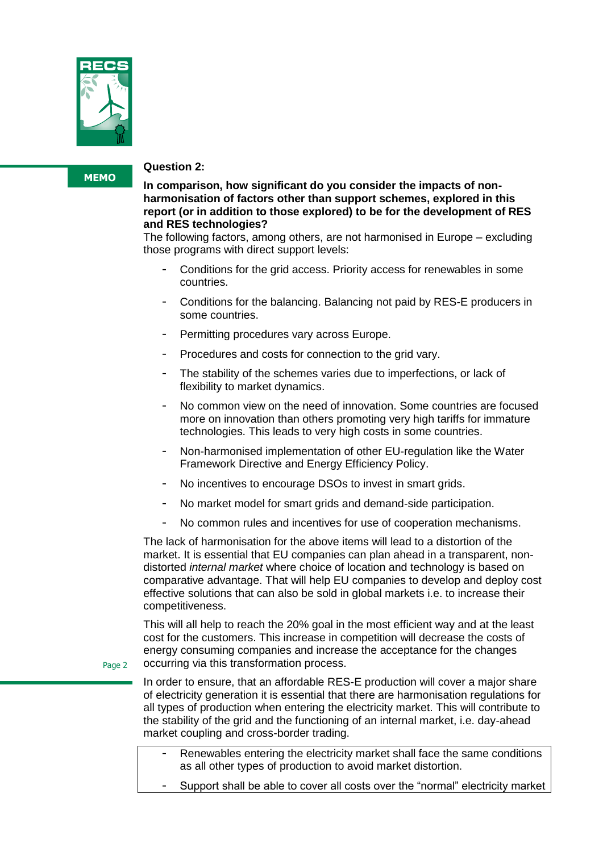

#### **Question 2:**

**In comparison, how significant do you consider the impacts of nonharmonisation of factors other than support schemes, explored in this report (or in addition to those explored) to be for the development of RES and RES technologies?**

The following factors, among others, are not harmonised in Europe – excluding those programs with direct support levels:

- Conditions for the grid access. Priority access for renewables in some countries.
- Conditions for the balancing. Balancing not paid by RES-E producers in some countries.
- Permitting procedures vary across Europe.
- Procedures and costs for connection to the grid vary.
- The stability of the schemes varies due to imperfections, or lack of flexibility to market dynamics.
- No common view on the need of innovation. Some countries are focused more on innovation than others promoting very high tariffs for immature technologies. This leads to very high costs in some countries.
- Non-harmonised implementation of other EU-regulation like the Water Framework Directive and Energy Efficiency Policy.
- No incentives to encourage DSOs to invest in smart grids.
- No market model for smart grids and demand-side participation.
- No common rules and incentives for use of cooperation mechanisms.

The lack of harmonisation for the above items will lead to a distortion of the market. It is essential that EU companies can plan ahead in a transparent, nondistorted *internal market* where choice of location and technology is based on comparative advantage. That will help EU companies to develop and deploy cost effective solutions that can also be sold in global markets i.e. to increase their competitiveness.

This will all help to reach the 20% goal in the most efficient way and at the least cost for the customers. This increase in competition will decrease the costs of energy consuming companies and increase the acceptance for the changes occurring via this transformation process.

Page 2

In order to ensure, that an affordable RES-E production will cover a major share of electricity generation it is essential that there are harmonisation regulations for all types of production when entering the electricity market. This will contribute to the stability of the grid and the functioning of an internal market, i.e. day-ahead market coupling and cross-border trading.

- Renewables entering the electricity market shall face the same conditions as all other types of production to avoid market distortion.
- Support shall be able to cover all costs over the "normal" electricity market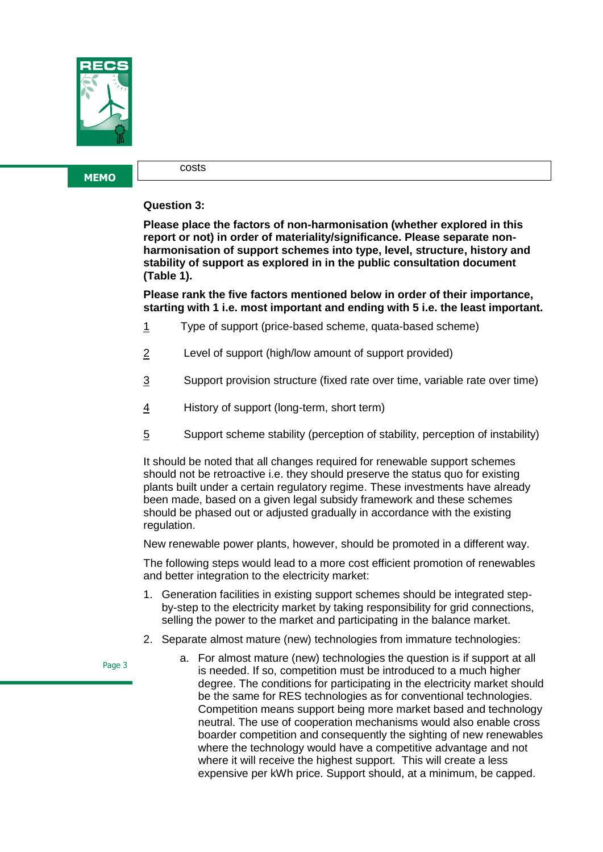

costs

### **Question 3:**

**Please place the factors of non-harmonisation (whether explored in this report or not) in order of materiality/significance. Please separate nonharmonisation of support schemes into type, level, structure, history and stability of support as explored in in the public consultation document (Table 1).** 

**Please rank the five factors mentioned below in order of their importance, starting with 1 i.e. most important and ending with 5 i.e. the least important.**

- 1 Type of support (price-based scheme, quata-based scheme)
- 2 Level of support (high/low amount of support provided)
- $\frac{3}{2}$  Support provision structure (fixed rate over time, variable rate over time)
- 4 History of support (long-term, short term)
- 5 Support scheme stability (perception of stability, perception of instability)

It should be noted that all changes required for renewable support schemes should not be retroactive i.e. they should preserve the status quo for existing plants built under a certain regulatory regime. These investments have already been made, based on a given legal subsidy framework and these schemes should be phased out or adjusted gradually in accordance with the existing regulation.

New renewable power plants, however, should be promoted in a different way.

The following steps would lead to a more cost efficient promotion of renewables and better integration to the electricity market:

- 1. Generation facilities in existing support schemes should be integrated stepby-step to the electricity market by taking responsibility for grid connections, selling the power to the market and participating in the balance market.
- 2. Separate almost mature (new) technologies from immature technologies:

Page 3

a. For almost mature (new) technologies the question is if support at all is needed. If so, competition must be introduced to a much higher degree. The conditions for participating in the electricity market should be the same for RES technologies as for conventional technologies. Competition means support being more market based and technology neutral. The use of cooperation mechanisms would also enable cross boarder competition and consequently the sighting of new renewables where the technology would have a competitive advantage and not where it will receive the highest support. This will create a less expensive per kWh price. Support should, at a minimum, be capped.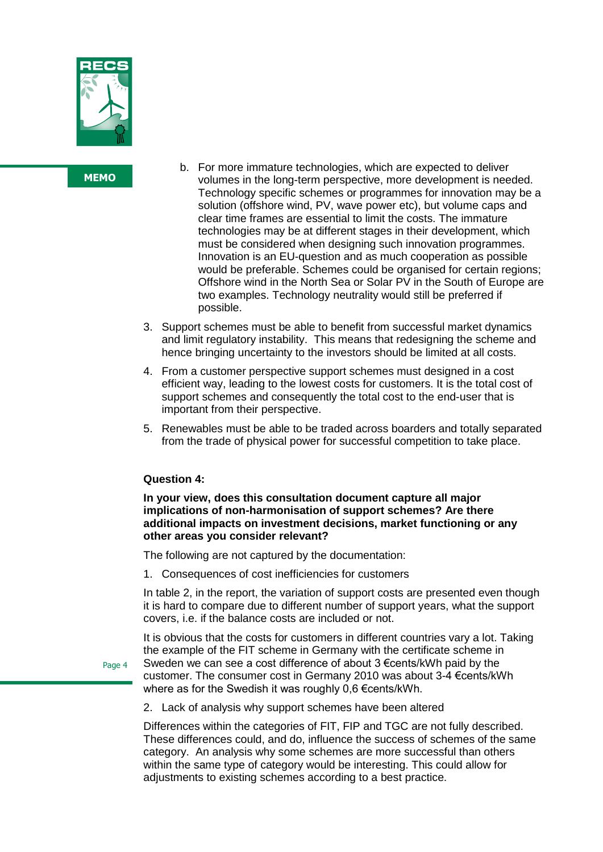

- b. For more immature technologies, which are expected to deliver volumes in the long-term perspective, more development is needed. Technology specific schemes or programmes for innovation may be a solution (offshore wind, PV, wave power etc), but volume caps and clear time frames are essential to limit the costs. The immature technologies may be at different stages in their development, which must be considered when designing such innovation programmes. Innovation is an EU-question and as much cooperation as possible would be preferable. Schemes could be organised for certain regions; Offshore wind in the North Sea or Solar PV in the South of Europe are two examples. Technology neutrality would still be preferred if possible.
- 3. Support schemes must be able to benefit from successful market dynamics and limit regulatory instability. This means that redesigning the scheme and hence bringing uncertainty to the investors should be limited at all costs.
- 4. From a customer perspective support schemes must designed in a cost efficient way, leading to the lowest costs for customers. It is the total cost of support schemes and consequently the total cost to the end-user that is important from their perspective.
- 5. Renewables must be able to be traded across boarders and totally separated from the trade of physical power for successful competition to take place.

### **Question 4:**

**In your view, does this consultation document capture all major implications of non-harmonisation of support schemes? Are there additional impacts on investment decisions, market functioning or any other areas you consider relevant?**

The following are not captured by the documentation:

1. Consequences of cost inefficiencies for customers

In table 2, in the report, the variation of support costs are presented even though it is hard to compare due to different number of support years, what the support covers, i.e. if the balance costs are included or not.

It is obvious that the costs for customers in different countries vary a lot. Taking the example of the FIT scheme in Germany with the certificate scheme in Sweden we can see a cost difference of about 3 €cents/kWh paid by the customer. The consumer cost in Germany 2010 was about 3-4 €cents/kWh where as for the Swedish it was roughly 0,6 €cents/kWh.

2. Lack of analysis why support schemes have been altered

Differences within the categories of FIT, FIP and TGC are not fully described. These differences could, and do, influence the success of schemes of the same category. An analysis why some schemes are more successful than others within the same type of category would be interesting. This could allow for adjustments to existing schemes according to a best practice.

Page 4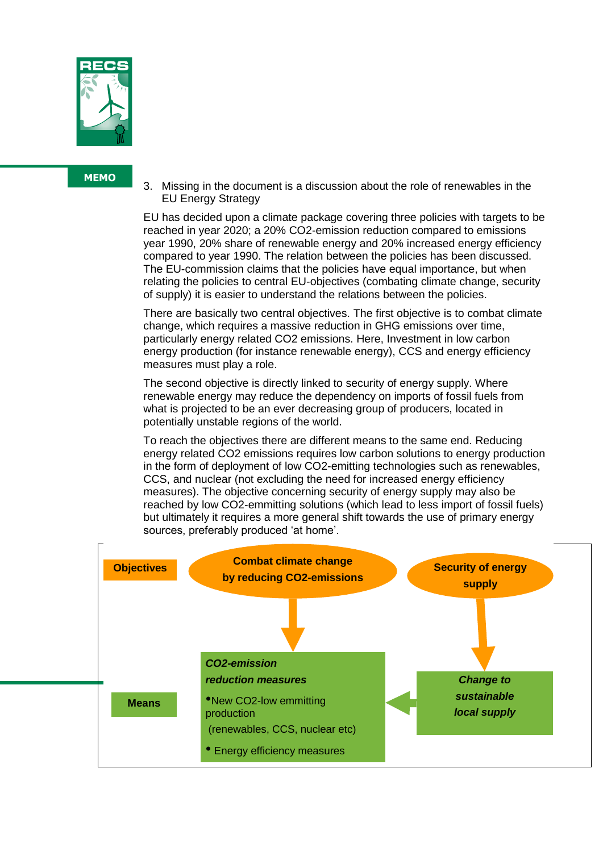

3. Missing in the document is a discussion about the role of renewables in the EU Energy Strategy

EU has decided upon a climate package covering three policies with targets to be reached in year 2020; a 20% CO2-emission reduction compared to emissions year 1990, 20% share of renewable energy and 20% increased energy efficiency compared to year 1990. The relation between the policies has been discussed. The EU-commission claims that the policies have equal importance, but when relating the policies to central EU-objectives (combating climate change, security of supply) it is easier to understand the relations between the policies.

There are basically two central objectives. The first objective is to combat climate change, which requires a massive reduction in GHG emissions over time, particularly energy related CO2 emissions. Here, Investment in low carbon energy production (for instance renewable energy), CCS and energy efficiency measures must play a role.

The second objective is directly linked to security of energy supply. Where renewable energy may reduce the dependency on imports of fossil fuels from what is projected to be an ever decreasing group of producers, located in potentially unstable regions of the world.

To reach the objectives there are different means to the same end. Reducing energy related CO2 emissions requires low carbon solutions to energy production in the form of deployment of low CO2-emitting technologies such as renewables, CCS, and nuclear (not excluding the need for increased energy efficiency measures). The objective concerning security of energy supply may also be reached by low CO2-emmitting solutions (which lead to less import of fossil fuels) but ultimately it requires a more general shift towards the use of primary energy sources, preferably produced 'at home'.